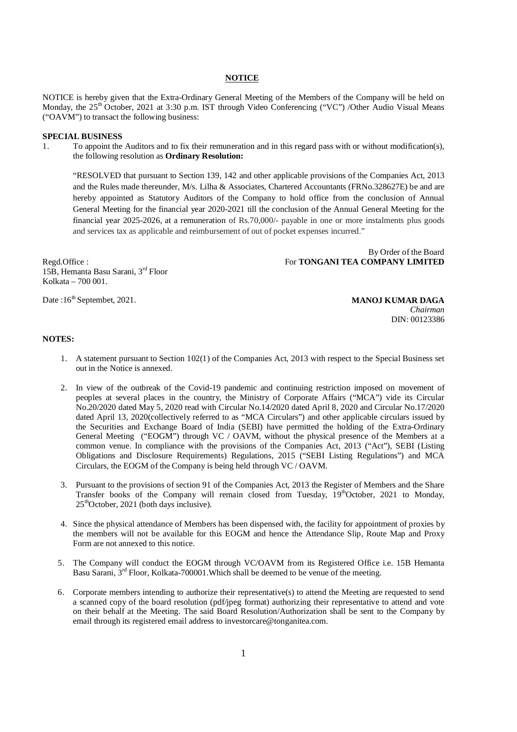#### **NOTICE**

NOTICE is hereby given that the Extra-Ordinary General Meeting of the Members of the Company will be held on Monday, the  $25<sup>th</sup>$  October, 2021 at 3:30 p.m. IST through Video Conferencing ("VC") /Other Audio Visual Means ("OAVM") to transact the following business:

#### **SPECIAL BUSINESS**

1. To appoint the Auditors and to fix their remuneration and in this regard pass with or without modification(s), the following resolution as **Ordinary Resolution:**

"RESOLVED that pursuant to Section 139, 142 and other applicable provisions of the Companies Act, 2013 and the Rules made thereunder, M/s. Lilha & Associates, Chartered Accountants (FRNo.328627E) be and are hereby appointed as Statutory Auditors of the Company to hold office from the conclusion of Annual General Meeting for the financial year 2020-2021 till the conclusion of the Annual General Meeting for the financial year 2025-2026, at a remuneration of Rs.70,000/- payable in one or more instalments plus goods and services tax as applicable and reimbursement of out of pocket expenses incurred."

Regd.Office : 15B, Hemanta Basu Sarani, 3rd Floor Kolkata – 700 001.

Date :16<sup>th</sup> Septembet, 2021. **MANOJ KUMAR DAGA** *Chairman* DIN: 00123386

For **TONGANI TEA COMPANY LIMITED**

By Order of the Board

#### **NOTES:**

- 1. A statement pursuant to Section 102(1) of the Companies Act, 2013 with respect to the Special Business set out in the Notice is annexed.
- 2. In view of the outbreak of the Covid-19 pandemic and continuing restriction imposed on movement of peoples at several places in the country, the Ministry of Corporate Affairs ("MCA") vide its Circular No.20/2020 dated May 5, 2020 read with Circular No.14/2020 dated April 8, 2020 and Circular No.17/2020 dated April 13, 2020(collectively referred to as "MCA Circulars") and other applicable circulars issued by the Securities and Exchange Board of India (SEBI) have permitted the holding of the Extra-Ordinary General Meeting ("EOGM") through VC / OAVM, without the physical presence of the Members at a common venue. In compliance with the provisions of the Companies Act, 2013 ("Act"), SEBI (Listing Obligations and Disclosure Requirements) Regulations, 2015 ("SEBI Listing Regulations") and MCA Circulars, the EOGM of the Company is being held through VC / OAVM.
- 3. Pursuant to the provisions of section 91 of the Companies Act, 2013 the Register of Members and the Share Transfer books of the Company will remain closed from Tuesday,  $19<sup>th</sup>$ October, 2021 to Monday,  $25<sup>th</sup>$ October, 2021 (both days inclusive).
- 4. Since the physical attendance of Members has been dispensed with, the facility for appointment of proxies by the members will not be available for this EOGM and hence the Attendance Slip, Route Map and Proxy Form are not annexed to this notice.
- 5. The Company will conduct the EOGM through VC/OAVM from its Registered Office i.e. 15B Hemanta Basu Sarani, 3<sup>rd</sup> Floor, Kolkata-700001. Which shall be deemed to be venue of the meeting.
- 6. Corporate members intending to authorize their representative(s) to attend the Meeting are requested to send a scanned copy of the board resolution (pdf/jpeg format) authorizing their representative to attend and vote on their behalf at the Meeting. The said Board Resolution/Authorization shall be sent to the Company by email through its registered email address to investorcare@tonganitea.com.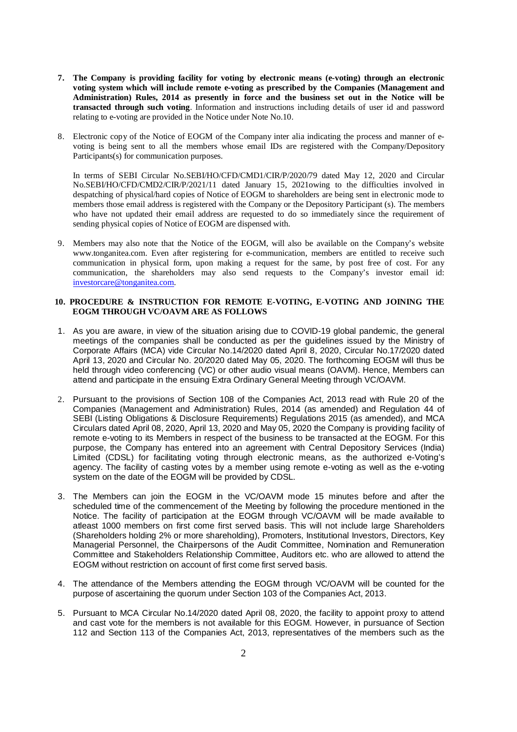- **7. The Company is providing facility for voting by electronic means (e-voting) through an electronic voting system which will include remote e-voting as prescribed by the Companies (Management and Administration) Rules, 2014 as presently in force and the business set out in the Notice will be transacted through such voting**. Information and instructions including details of user id and password relating to e-voting are provided in the Notice under Note No.10.
- 8. Electronic copy of the Notice of EOGM of the Company inter alia indicating the process and manner of evoting is being sent to all the members whose email IDs are registered with the Company/Depository Participants(s) for communication purposes.

In terms of SEBI Circular No.SEBI/HO/CFD/CMD1/CIR/P/2020/79 dated May 12, 2020 and Circular No.SEBI/HO/CFD/CMD2/CIR/P/2021/11 dated January 15, 2021owing to the difficulties involved in despatching of physical/hard copies of Notice of EOGM to shareholders are being sent in electronic mode to members those email address is registered with the Company or the Depository Participant (s). The members who have not updated their email address are requested to do so immediately since the requirement of sending physical copies of Notice of EOGM are dispensed with.

9. Members may also note that the Notice of the EOGM, will also be available on the Company's website www.tonganitea.com. Even after registering for e-communication, members are entitled to receive such communication in physical form, upon making a request for the same, by post free of cost. For any communication, the shareholders may also send requests to the Company's investor email id: investorcare@tonganitea.com.

## **10. PROCEDURE & INSTRUCTION FOR REMOTE E-VOTING, E-VOTING AND JOINING THE EOGM THROUGH VC/OAVM ARE AS FOLLOWS**

- 1. As you are aware, in view of the situation arising due to COVID-19 global pandemic, the general meetings of the companies shall be conducted as per the guidelines issued by the Ministry of Corporate Affairs (MCA) vide Circular No.14/2020 dated April 8, 2020, Circular No.17/2020 dated April 13, 2020 and Circular No. 20/2020 dated May 05, 2020. The forthcoming EOGM will thus be held through video conferencing (VC) or other audio visual means (OAVM). Hence, Members can attend and participate in the ensuing Extra Ordinary General Meeting through VC/OAVM.
- 2. Pursuant to the provisions of Section 108 of the Companies Act, 2013 read with Rule 20 of the Companies (Management and Administration) Rules, 2014 (as amended) and Regulation 44 of SEBI (Listing Obligations & Disclosure Requirements) Regulations 2015 (as amended), and MCA Circulars dated April 08, 2020, April 13, 2020 and May 05, 2020 the Company is providing facility of remote e-voting to its Members in respect of the business to be transacted at the EOGM. For this purpose, the Company has entered into an agreement with Central Depository Services (India) Limited (CDSL) for facilitating voting through electronic means, as the authorized e-Voting's agency. The facility of casting votes by a member using remote e-voting as well as the e-voting system on the date of the EOGM will be provided by CDSL.
- 3. The Members can join the EOGM in the VC/OAVM mode 15 minutes before and after the scheduled time of the commencement of the Meeting by following the procedure mentioned in the Notice. The facility of participation at the EOGM through VC/OAVM will be made available to atleast 1000 members on first come first served basis. This will not include large Shareholders (Shareholders holding 2% or more shareholding), Promoters, Institutional Investors, Directors, Key Managerial Personnel, the Chairpersons of the Audit Committee, Nomination and Remuneration Committee and Stakeholders Relationship Committee, Auditors etc. who are allowed to attend the EOGM without restriction on account of first come first served basis.
- 4. The attendance of the Members attending the EOGM through VC/OAVM will be counted for the purpose of ascertaining the quorum under Section 103 of the Companies Act, 2013.
- 5. Pursuant to MCA Circular No.14/2020 dated April 08, 2020, the facility to appoint proxy to attend and cast vote for the members is not available for this EOGM. However, in pursuance of Section 112 and Section 113 of the Companies Act, 2013, representatives of the members such as the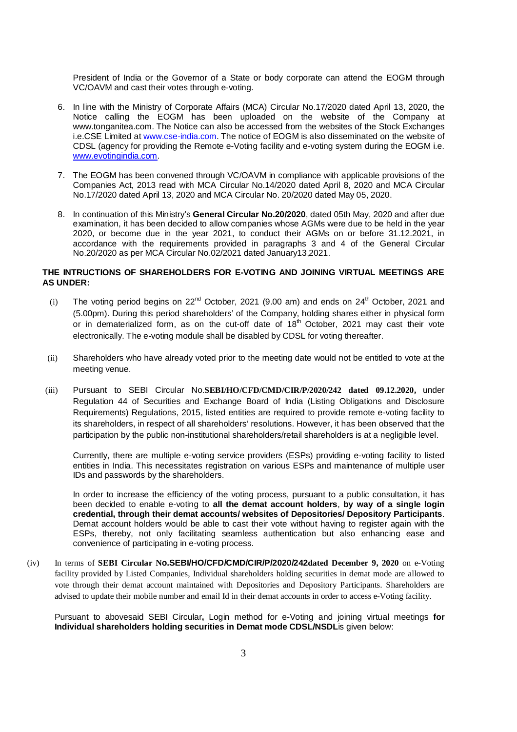President of India or the Governor of a State or body corporate can attend the EOGM through VC/OAVM and cast their votes through e-voting.

- 6. In line with the Ministry of Corporate Affairs (MCA) Circular No.17/2020 dated April 13, 2020, the Notice calling the EOGM has been uploaded on the website of the Company at www.tonganitea.com. The Notice can also be accessed from the websites of the Stock Exchanges i.e.CSE Limited at www.cse-india.com. The notice of EOGM is also disseminated on the website of CDSL (agency for providing the Remote e-Voting facility and e-voting system during the EOGM i.e. www.evotingindia.com.
- 7. The EOGM has been convened through VC/OAVM in compliance with applicable provisions of the Companies Act, 2013 read with MCA Circular No.14/2020 dated April 8, 2020 and MCA Circular No.17/2020 dated April 13, 2020 and MCA Circular No. 20/2020 dated May 05, 2020.
- 8. In continuation of this Ministry's **General Circular No.20/2020**, dated 05th May, 2020 and after due examination, it has been decided to allow companies whose AGMs were due to be held in the year 2020, or become due in the year 2021, to conduct their AGMs on or before 31.12.2021, in accordance with the requirements provided in paragraphs 3 and 4 of the General Circular No.20/2020 as per MCA Circular No.02/2021 dated January13,2021.

# **THE INTRUCTIONS OF SHAREHOLDERS FOR E-VOTING AND JOINING VIRTUAL MEETINGS ARE AS UNDER:**

- (i) The voting period begins on  $22^{nd}$  October, 2021 (9.00 am) and ends on  $24^{th}$  October, 2021 and (5.00pm). During this period shareholders' of the Company, holding shares either in physical form or in dematerialized form, as on the cut-off date of  $18<sup>th</sup>$  October, 2021 may cast their vote electronically. The e-voting module shall be disabled by CDSL for voting thereafter.
- (ii) Shareholders who have already voted prior to the meeting date would not be entitled to vote at the meeting venue.
- (iii) Pursuant to SEBI Circular No.**SEBI/HO/CFD/CMD/CIR/P/2020/242 dated 09.12.2020,** under Regulation 44 of Securities and Exchange Board of India (Listing Obligations and Disclosure Requirements) Regulations, 2015, listed entities are required to provide remote e-voting facility to its shareholders, in respect of all shareholders' resolutions. However, it has been observed that the participation by the public non-institutional shareholders/retail shareholders is at a negligible level.

Currently, there are multiple e-voting service providers (ESPs) providing e-voting facility to listed entities in India. This necessitates registration on various ESPs and maintenance of multiple user IDs and passwords by the shareholders.

In order to increase the efficiency of the voting process, pursuant to a public consultation, it has been decided to enable e-voting to **all the demat account holders**, **by way of a single login credential, through their demat accounts/ websites of Depositories/ Depository Participants**. Demat account holders would be able to cast their vote without having to register again with the ESPs, thereby, not only facilitating seamless authentication but also enhancing ease and convenience of participating in e-voting process.

(iv) In terms of **SEBI Circular No.SEBI/HO/CFD/CMD/CIR/P/2020/242dated December 9, 2020** on e-Voting facility provided by Listed Companies, Individual shareholders holding securities in demat mode are allowed to vote through their demat account maintained with Depositories and Depository Participants. Shareholders are advised to update their mobile number and email Id in their demat accounts in order to access e-Voting facility.

Pursuant to abovesaid SEBI Circular**,** Login method for e-Voting and joining virtual meetings **for Individual shareholders holding securities in Demat mode CDSL/NSDL**is given below: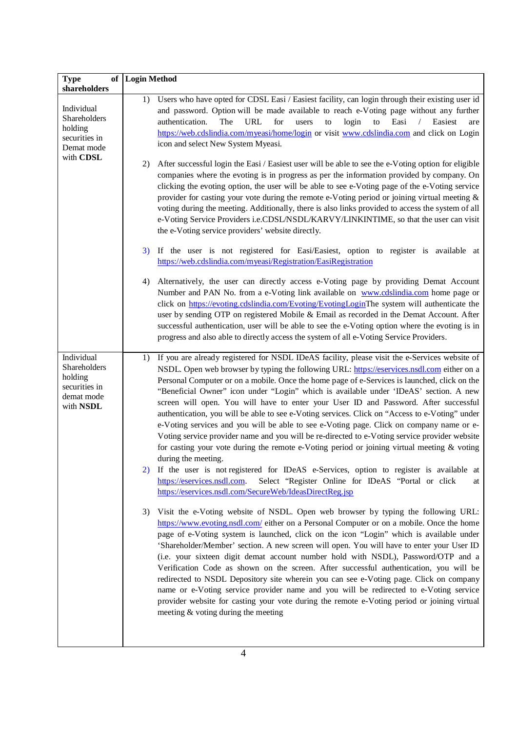| <b>Type</b><br>shareholders                                                       | of Login Method                                                                                                                                                                                                                                                                                                                                                                                                                                                                                                                                                                                                                                                                                                                                                                                                                                                                                                                                                                                                                                                                                                                                               |
|-----------------------------------------------------------------------------------|---------------------------------------------------------------------------------------------------------------------------------------------------------------------------------------------------------------------------------------------------------------------------------------------------------------------------------------------------------------------------------------------------------------------------------------------------------------------------------------------------------------------------------------------------------------------------------------------------------------------------------------------------------------------------------------------------------------------------------------------------------------------------------------------------------------------------------------------------------------------------------------------------------------------------------------------------------------------------------------------------------------------------------------------------------------------------------------------------------------------------------------------------------------|
| Individual<br>Shareholders<br>holding<br>securities in<br>Demat mode<br>with CDSL | Users who have opted for CDSL Easi / Easiest facility, can login through their existing user id<br>1)<br>and password. Option will be made available to reach e-Voting page without any further<br>authentication.<br>The<br>URL<br>for<br>login<br>to<br>Easi<br>users<br>to<br>Easiest<br>$\sqrt{2}$<br>are<br>https://web.cdslindia.com/myeasi/home/login or visit www.cdslindia.com and click on Login<br>icon and select New System Myeasi.                                                                                                                                                                                                                                                                                                                                                                                                                                                                                                                                                                                                                                                                                                              |
|                                                                                   | After successful login the Easi / Easiest user will be able to see the e-Voting option for eligible<br>2)<br>companies where the evoting is in progress as per the information provided by company. On<br>clicking the evoting option, the user will be able to see e-Voting page of the e-Voting service<br>provider for casting your vote during the remote e-Voting period or joining virtual meeting $\&$<br>voting during the meeting. Additionally, there is also links provided to access the system of all<br>e-Voting Service Providers i.e.CDSL/NSDL/KARVY/LINKINTIME, so that the user can visit<br>the e-Voting service providers' website directly.                                                                                                                                                                                                                                                                                                                                                                                                                                                                                              |
|                                                                                   | 3) If the user is not registered for Easi/Easiest, option to register is available at<br>https://web.cdslindia.com/myeasi/Registration/EasiRegistration                                                                                                                                                                                                                                                                                                                                                                                                                                                                                                                                                                                                                                                                                                                                                                                                                                                                                                                                                                                                       |
|                                                                                   | Alternatively, the user can directly access e-Voting page by providing Demat Account<br>4)<br>Number and PAN No. from a e-Voting link available on www.cdslindia.com home page or<br>click on https://evoting.cdslindia.com/Evoting/EvotingLoginThe system will authenticate the<br>user by sending OTP on registered Mobile & Email as recorded in the Demat Account. After<br>successful authentication, user will be able to see the e-Voting option where the evoting is in<br>progress and also able to directly access the system of all e-Voting Service Providers.                                                                                                                                                                                                                                                                                                                                                                                                                                                                                                                                                                                    |
| Individual<br>Shareholders<br>holding<br>securities in<br>demat mode<br>with NSDL | If you are already registered for NSDL IDeAS facility, please visit the e-Services website of<br>1)<br>NSDL. Open web browser by typing the following URL: https://eservices.nsdl.com either on a<br>Personal Computer or on a mobile. Once the home page of e-Services is launched, click on the<br>"Beneficial Owner" icon under "Login" which is available under 'IDeAS' section. A new<br>screen will open. You will have to enter your User ID and Password. After successful<br>authentication, you will be able to see e-Voting services. Click on "Access to e-Voting" under<br>e-Voting services and you will be able to see e-Voting page. Click on company name or e-<br>Voting service provider name and you will be re-directed to e-Voting service provider website<br>for casting your vote during the remote e-Voting period or joining virtual meeting $\&$ voting<br>during the meeting.<br>2) If the user is not registered for IDeAS e-Services, option to register is available at<br>Select "Register Online for IDeAS "Portal or click<br>https://eservices.nsdl.com.<br>at<br>https://eservices.nsdl.com/SecureWeb/IdeasDirectReg.jsp |
|                                                                                   | Visit the e-Voting website of NSDL. Open web browser by typing the following URL:<br>3)<br>https://www.evoting.nsdl.com/ either on a Personal Computer or on a mobile. Once the home<br>page of e-Voting system is launched, click on the icon "Login" which is available under<br>'Shareholder/Member' section. A new screen will open. You will have to enter your User ID<br>(i.e. your sixteen digit demat account number hold with NSDL), Password/OTP and a<br>Verification Code as shown on the screen. After successful authentication, you will be<br>redirected to NSDL Depository site wherein you can see e-Voting page. Click on company<br>name or e-Voting service provider name and you will be redirected to e-Voting service<br>provider website for casting your vote during the remote e-Voting period or joining virtual<br>meeting & voting during the meeting                                                                                                                                                                                                                                                                          |

 $\overline{\phantom{a}}$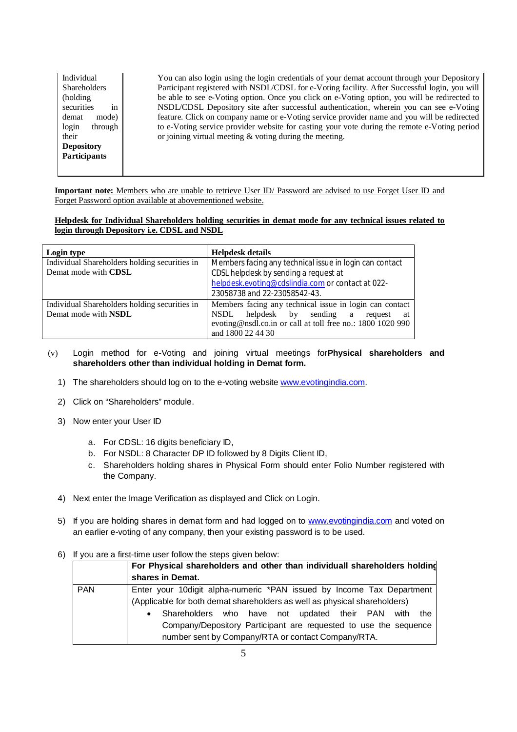Individual Shareholders (holding securities in demat mode) login through their **Depository Participants**

You can also login using the login credentials of your demat account through your Depository Participant registered with NSDL/CDSL for e-Voting facility. After Successful login, you will be able to see e-Voting option. Once you click on e-Voting option, you will be redirected to NSDL/CDSL Depository site after successful authentication, wherein you can see e-Voting feature. Click on company name or e-Voting service provider name and you will be redirected to e-Voting service provider website for casting your vote during the remote e-Voting period or joining virtual meeting & voting during the meeting.

**Important note:** Members who are unable to retrieve User ID/ Password are advised to use Forget User ID and Forget Password option available at abovementioned website.

## **Helpdesk for Individual Shareholders holding securities in demat mode for any technical issues related to login through Depository i.e. CDSL and NSDL**

| Login type                                    | <b>Helpdesk details</b>                                    |
|-----------------------------------------------|------------------------------------------------------------|
| Individual Shareholders holding securities in | Members facing any technical issue in login can contact    |
| Demat mode with CDSL                          | CDSL helpdesk by sending a request at                      |
|                                               | helpdesk.evoting@cdslindia.com or contact at 022-          |
|                                               | 23058738 and 22-23058542-43.                               |
| Individual Shareholders holding securities in | Members facing any technical issue in login can contact    |
| Demat mode with <b>NSDL</b>                   | helpdesk by sending a request<br>NSDL<br>-at               |
|                                               | evoting@nsdl.co.in or call at toll free no.: 1800 1020 990 |
|                                               | and 1800 22 44 30                                          |

# (v) Login method for e-Voting and joining virtual meetings for**Physical shareholders and shareholders other than individual holding in Demat form.**

- 1) The shareholders should log on to the e-voting website www.evotingindia.com.
- 2) Click on "Shareholders" module.
- 3) Now enter your User ID
	- a. For CDSL: 16 digits beneficiary ID,
	- b. For NSDL: 8 Character DP ID followed by 8 Digits Client ID,
	- c. Shareholders holding shares in Physical Form should enter Folio Number registered with the Company.
- 4) Next enter the Image Verification as displayed and Click on Login.
- 5) If you are holding shares in demat form and had logged on to www.evotingindia.com and voted on an earlier e-voting of any company, then your existing password is to be used.

## 6) If you are a first-time user follow the steps given below:

|            | For Physical shareholders and other than individuall shareholders holding |
|------------|---------------------------------------------------------------------------|
|            | shares in Demat.                                                          |
| <b>PAN</b> | Enter your 10 digit alpha-numeric *PAN issued by Income Tax Department    |
|            | (Applicable for both demat shareholders as well as physical shareholders) |
|            | Shareholders who have not updated their PAN<br>the<br>with<br>$\bullet$   |
|            | Company/Depository Participant are requested to use the sequence          |
|            | number sent by Company/RTA or contact Company/RTA.                        |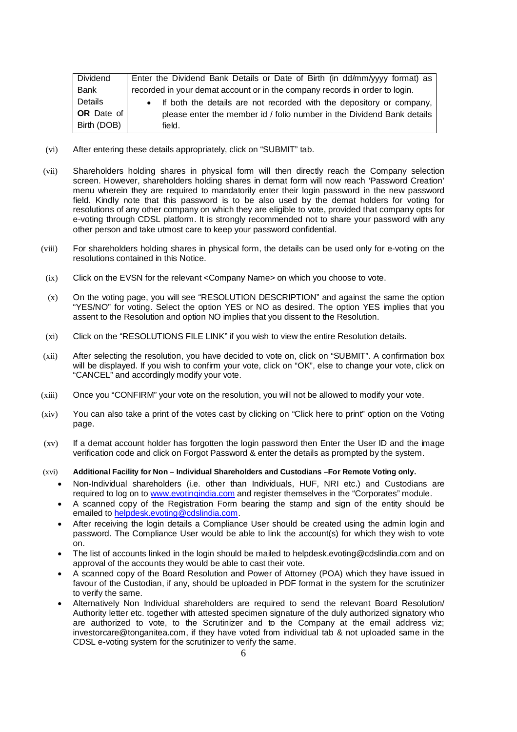| Dividend    | Enter the Dividend Bank Details or Date of Birth (in dd/mm/yyyy format) as  |
|-------------|-----------------------------------------------------------------------------|
| Bank        | recorded in your demat account or in the company records in order to login. |
| Details     | • If both the details are not recorded with the depository or company,      |
| OR Date of  | please enter the member id / folio number in the Dividend Bank details      |
| Birth (DOB) | field.                                                                      |

- (vi) After entering these details appropriately, click on "SUBMIT" tab.
- (vii) Shareholders holding shares in physical form will then directly reach the Company selection screen. However, shareholders holding shares in demat form will now reach 'Password Creation' menu wherein they are required to mandatorily enter their login password in the new password field. Kindly note that this password is to be also used by the demat holders for voting for resolutions of any other company on which they are eligible to vote, provided that company opts for e-voting through CDSL platform. It is strongly recommended not to share your password with any other person and take utmost care to keep your password confidential.
- (viii) For shareholders holding shares in physical form, the details can be used only for e-voting on the resolutions contained in this Notice.
- (ix) Click on the EVSN for the relevant <Company Name> on which you choose to vote.
- (x) On the voting page, you will see "RESOLUTION DESCRIPTION" and against the same the option "YES/NO" for voting. Select the option YES or NO as desired. The option YES implies that you assent to the Resolution and option NO implies that you dissent to the Resolution.
- (xi) Click on the "RESOLUTIONS FILE LINK" if you wish to view the entire Resolution details.
- (xii) After selecting the resolution, you have decided to vote on, click on "SUBMIT". A confirmation box will be displayed. If you wish to confirm your vote, click on "OK", else to change your vote, click on "CANCEL" and accordingly modify your vote.
- (xiii) Once you "CONFIRM" your vote on the resolution, you will not be allowed to modify your vote.
- (xiv) You can also take a print of the votes cast by clicking on "Click here to print" option on the Voting page.
- (xv) If a demat account holder has forgotten the login password then Enter the User ID and the image verification code and click on Forgot Password & enter the details as prompted by the system.
- (xvi) **Additional Facility for Non – Individual Shareholders and Custodians –For Remote Voting only.**
	- Non-Individual shareholders (i.e. other than Individuals, HUF, NRI etc.) and Custodians are required to log on to www.evotingindia.com and register themselves in the "Corporates" module.
	- A scanned copy of the Registration Form bearing the stamp and sign of the entity should be emailed to helpdesk.evoting@cdslindia.com.
	- After receiving the login details a Compliance User should be created using the admin login and password. The Compliance User would be able to link the account(s) for which they wish to vote on.
	- The list of accounts linked in the login should be mailed to helpdesk.evoting@cdslindia.com and on approval of the accounts they would be able to cast their vote.
	- A scanned copy of the Board Resolution and Power of Attorney (POA) which they have issued in favour of the Custodian, if any, should be uploaded in PDF format in the system for the scrutinizer to verify the same.
	- Alternatively Non Individual shareholders are required to send the relevant Board Resolution/ Authority letter etc. together with attested specimen signature of the duly authorized signatory who are authorized to vote, to the Scrutinizer and to the Company at the email address viz; investorcare@tonganitea.com, if they have voted from individual tab & not uploaded same in the CDSL e-voting system for the scrutinizer to verify the same.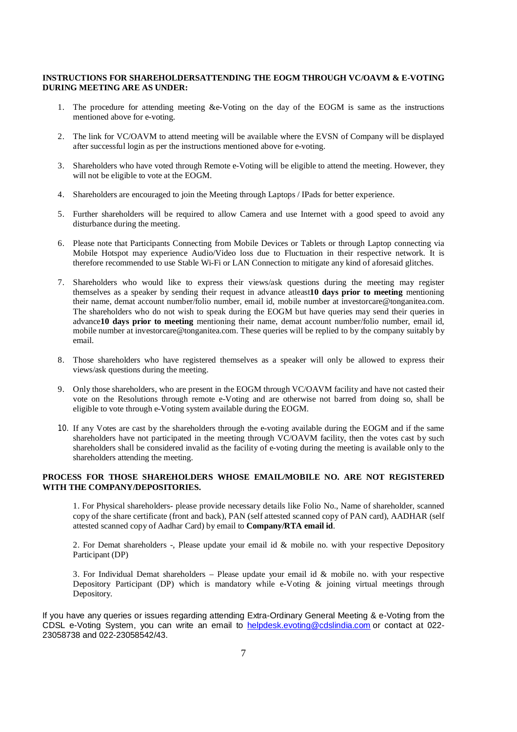#### **INSTRUCTIONS FOR SHAREHOLDERSATTENDING THE EOGM THROUGH VC/OAVM & E-VOTING DURING MEETING ARE AS UNDER:**

- 1. The procedure for attending meeting &e-Voting on the day of the EOGM is same as the instructions mentioned above for e-voting.
- 2. The link for VC/OAVM to attend meeting will be available where the EVSN of Company will be displayed after successful login as per the instructions mentioned above for e-voting.
- 3. Shareholders who have voted through Remote e-Voting will be eligible to attend the meeting. However, they will not be eligible to vote at the EOGM.
- 4. Shareholders are encouraged to join the Meeting through Laptops / IPads for better experience.
- 5. Further shareholders will be required to allow Camera and use Internet with a good speed to avoid any disturbance during the meeting.
- 6. Please note that Participants Connecting from Mobile Devices or Tablets or through Laptop connecting via Mobile Hotspot may experience Audio/Video loss due to Fluctuation in their respective network. It is therefore recommended to use Stable Wi-Fi or LAN Connection to mitigate any kind of aforesaid glitches.
- 7. Shareholders who would like to express their views/ask questions during the meeting may register themselves as a speaker by sending their request in advance atleast**10 days prior to meeting** mentioning their name, demat account number/folio number, email id, mobile number at investorcare@tonganitea.com. The shareholders who do not wish to speak during the EOGM but have queries may send their queries in advance**10 days prior to meeting** mentioning their name, demat account number/folio number, email id, mobile number at investorcare@tonganitea.com. These queries will be replied to by the company suitably by email.
- 8. Those shareholders who have registered themselves as a speaker will only be allowed to express their views/ask questions during the meeting.
- 9. Only those shareholders, who are present in the EOGM through VC/OAVM facility and have not casted their vote on the Resolutions through remote e-Voting and are otherwise not barred from doing so, shall be eligible to vote through e-Voting system available during the EOGM.
- 10. If any Votes are cast by the shareholders through the e-voting available during the EOGM and if the same shareholders have not participated in the meeting through VC/OAVM facility, then the votes cast by such shareholders shall be considered invalid as the facility of e-voting during the meeting is available only to the shareholders attending the meeting.

#### **PROCESS FOR THOSE SHAREHOLDERS WHOSE EMAIL/MOBILE NO. ARE NOT REGISTERED WITH THE COMPANY/DEPOSITORIES.**

1. For Physical shareholders- please provide necessary details like Folio No., Name of shareholder, scanned copy of the share certificate (front and back), PAN (self attested scanned copy of PAN card), AADHAR (self attested scanned copy of Aadhar Card) by email to **Company/RTA email id**.

2. For Demat shareholders -, Please update your email id & mobile no. with your respective Depository Participant (DP)

3. For Individual Demat shareholders – Please update your email id  $&$  mobile no. with your respective Depository Participant (DP) which is mandatory while e-Voting & joining virtual meetings through Depository.

If you have any queries or issues regarding attending Extra-Ordinary General Meeting & e-Voting from the CDSL e-Voting System, you can write an email to helpdesk.evoting@cdslindia.com or contact at 022- 23058738 and 022-23058542/43.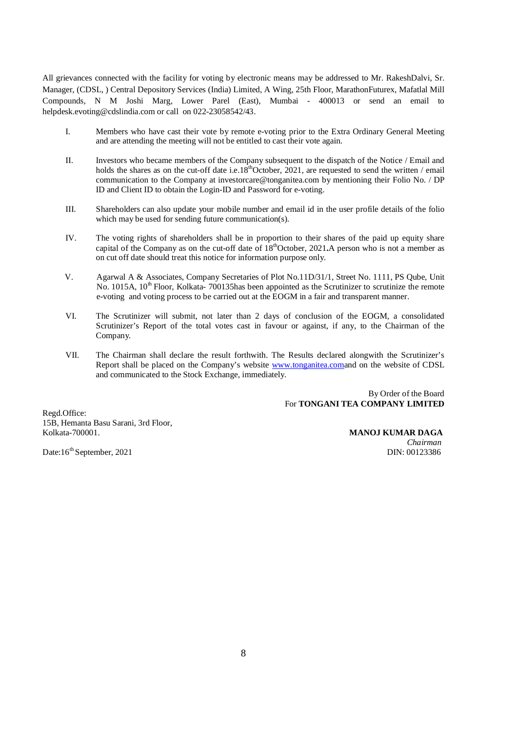All grievances connected with the facility for voting by electronic means may be addressed to Mr. RakeshDalvi, Sr. Manager, (CDSL, ) Central Depository Services (India) Limited, A Wing, 25th Floor, MarathonFuturex, Mafatlal Mill Compounds, N M Joshi Marg, Lower Parel (East), Mumbai - 400013 or send an email to helpdesk.evoting@cdslindia.com or call on 022-23058542/43.

- I. Members who have cast their vote by remote e-voting prior to the Extra Ordinary General Meeting and are attending the meeting will not be entitled to cast their vote again.
- II. Investors who became members of the Company subsequent to the dispatch of the Notice / Email and holds the shares as on the cut-off date i.e.18<sup>th</sup>October, 2021, are requested to send the written / email communication to the Company at investorcare@tonganitea.com by mentioning their Folio No. / DP ID and Client ID to obtain the Login-ID and Password for e-voting.
- III. Shareholders can also update your mobile number and email id in the user profile details of the folio which may be used for sending future communication(s).
- IV. The voting rights of shareholders shall be in proportion to their shares of the paid up equity share capital of the Company as on the cut-off date of 18<sup>th</sup>October, 2021**.**A person who is not a member as on cut off date should treat this notice for information purpose only.
- V. Agarwal A & Associates, Company Secretaries of Plot No.11D/31/1, Street No. 1111, PS Qube, Unit No. 1015A,  $10<sup>th</sup>$  Floor, Kolkata- 700135has been appointed as the Scrutinizer to scrutinize the remote e-voting and voting process to be carried out at the EOGM in a fair and transparent manner.
- VI. The Scrutinizer will submit, not later than 2 days of conclusion of the EOGM, a consolidated Scrutinizer's Report of the total votes cast in favour or against, if any, to the Chairman of the Company.
- VII. The Chairman shall declare the result forthwith. The Results declared alongwith the Scrutinizer's Report shall be placed on the Company's website www.tonganitea.comand on the website of CDSL and communicated to the Stock Exchange, immediately.

By Order of the Board For **TONGANI TEA COMPANY LIMITED**

Regd.Office: 15B, Hemanta Basu Sarani, 3rd Floor,

Date:16<sup>th</sup> September, 2021 DIN: 00123386

**MANOJ KUMAR DAGA** *Chairman*<br>DIN: 00123386